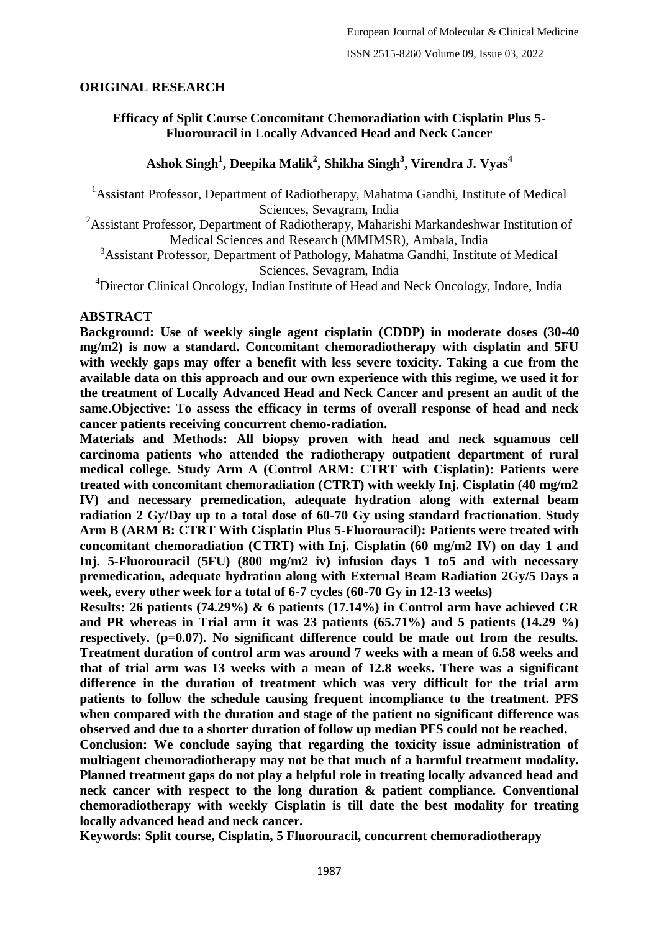## **ORIGINAL RESEARCH**

## **Efficacy of Split Course Concomitant Chemoradiation with Cisplatin Plus 5- Fluorouracil in Locally Advanced Head and Neck Cancer**

## **Ashok Singh<sup>1</sup> , Deepika Malik<sup>2</sup> , Shikha Singh<sup>3</sup> , Virendra J. Vyas<sup>4</sup>**

<sup>1</sup> Assistant Professor, Department of Radiotherapy, Mahatma Gandhi, Institute of Medical Sciences, Sevagram, India

<sup>2</sup>Assistant Professor, Department of Radiotherapy, Maharishi Markandeshwar Institution of Medical Sciences and Research (MMIMSR), Ambala, India

<sup>3</sup>Assistant Professor, Department of Pathology, Mahatma Gandhi, Institute of Medical Sciences, Sevagram, India

<sup>4</sup>Director Clinical Oncology, Indian Institute of Head and Neck Oncology, Indore, India

#### **ABSTRACT**

**Background: Use of weekly single agent cisplatin (CDDP) in moderate doses (30-40 mg/m2) is now a standard. Concomitant chemoradiotherapy with cisplatin and 5FU with weekly gaps may offer a benefit with less severe toxicity. Taking a cue from the available data on this approach and our own experience with this regime, we used it for the treatment of Locally Advanced Head and Neck Cancer and present an audit of the same.Objective: To assess the efficacy in terms of overall response of head and neck cancer patients receiving concurrent chemo-radiation.**

**Materials and Methods: All biopsy proven with head and neck squamous cell carcinoma patients who attended the radiotherapy outpatient department of rural medical college. Study Arm A (Control ARM: CTRT with Cisplatin): Patients were treated with concomitant chemoradiation (CTRT) with weekly Inj. Cisplatin (40 mg/m2 IV) and necessary premedication, adequate hydration along with external beam radiation 2 Gy/Day up to a total dose of 60-70 Gy using standard fractionation. Study Arm B (ARM B: CTRT With Cisplatin Plus 5-Fluorouracil): Patients were treated with concomitant chemoradiation (CTRT) with Inj. Cisplatin (60 mg/m2 IV) on day 1 and Inj. 5-Fluorouracil (5FU) (800 mg/m2 iv) infusion days 1 to5 and with necessary premedication, adequate hydration along with External Beam Radiation 2Gy/5 Days a week, every other week for a total of 6-7 cycles (60-70 Gy in 12-13 weeks)**

**Results: 26 patients (74.29%) & 6 patients (17.14%) in Control arm have achieved CR and PR whereas in Trial arm it was 23 patients (65.71%) and 5 patients (14.29 %) respectively. (p=0.07). No significant difference could be made out from the results. Treatment duration of control arm was around 7 weeks with a mean of 6.58 weeks and that of trial arm was 13 weeks with a mean of 12.8 weeks. There was a significant difference in the duration of treatment which was very difficult for the trial arm patients to follow the schedule causing frequent incompliance to the treatment. PFS when compared with the duration and stage of the patient no significant difference was observed and due to a shorter duration of follow up median PFS could not be reached.**

**Conclusion: We conclude saying that regarding the toxicity issue administration of multiagent chemoradiotherapy may not be that much of a harmful treatment modality. Planned treatment gaps do not play a helpful role in treating locally advanced head and neck cancer with respect to the long duration & patient compliance. Conventional chemoradiotherapy with weekly Cisplatin is till date the best modality for treating locally advanced head and neck cancer.**

**Keywords: Split course, Cisplatin, 5 Fluorouracil, concurrent chemoradiotherapy**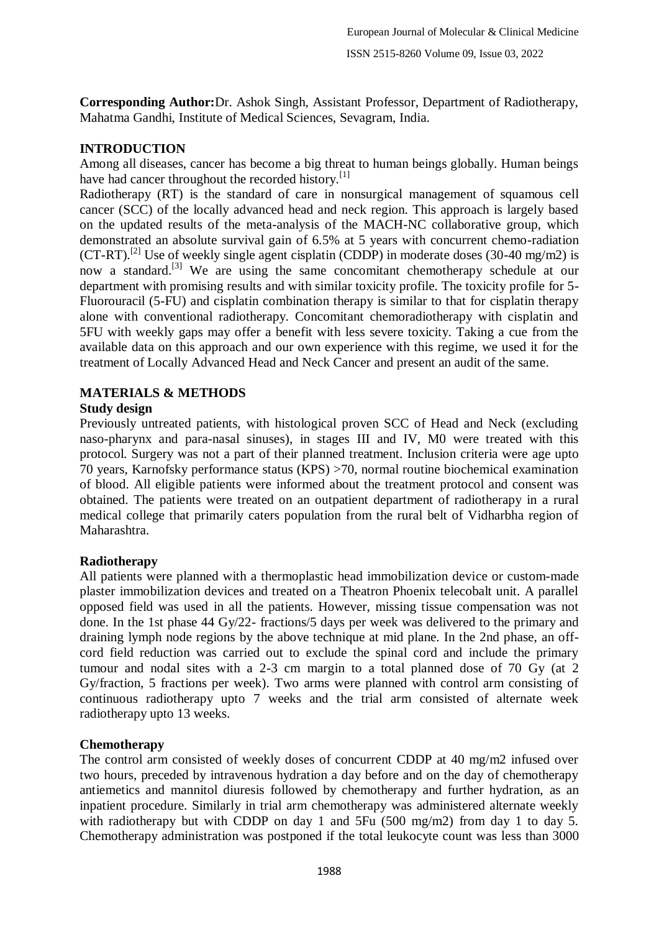**Corresponding Author:**Dr. Ashok Singh, Assistant Professor, Department of Radiotherapy, Mahatma Gandhi, Institute of Medical Sciences, Sevagram, India.

## **INTRODUCTION**

Among all diseases, cancer has become a big threat to human beings globally. Human beings have had cancer throughout the recorded history. $[1]$ 

Radiotherapy (RT) is the standard of care in nonsurgical management of squamous cell cancer (SCC) of the locally advanced head and neck region. This approach is largely based on the updated results of the meta-analysis of the MACH-NC collaborative group, which demonstrated an absolute survival gain of 6.5% at 5 years with concurrent chemo-radiation  $(CT-RT)$ .<sup>[2]</sup> Use of weekly single agent cisplatin (CDDP) in moderate doses (30-40 mg/m2) is now a standard.<sup>[3]</sup> We are using the same concomitant chemotherapy schedule at our department with promising results and with similar toxicity profile. The toxicity profile for 5- Fluorouracil (5-FU) and cisplatin combination therapy is similar to that for cisplatin therapy alone with conventional radiotherapy. Concomitant chemoradiotherapy with cisplatin and 5FU with weekly gaps may offer a benefit with less severe toxicity. Taking a cue from the available data on this approach and our own experience with this regime, we used it for the treatment of Locally Advanced Head and Neck Cancer and present an audit of the same.

# **MATERIALS & METHODS**

## **Study design**

Previously untreated patients, with histological proven SCC of Head and Neck (excluding naso-pharynx and para-nasal sinuses), in stages III and IV, M0 were treated with this protocol. Surgery was not a part of their planned treatment. Inclusion criteria were age upto 70 years, Karnofsky performance status (KPS) >70, normal routine biochemical examination of blood. All eligible patients were informed about the treatment protocol and consent was obtained. The patients were treated on an outpatient department of radiotherapy in a rural medical college that primarily caters population from the rural belt of Vidharbha region of Maharashtra.

## **Radiotherapy**

All patients were planned with a thermoplastic head immobilization device or custom-made plaster immobilization devices and treated on a Theatron Phoenix telecobalt unit. A parallel opposed field was used in all the patients. However, missing tissue compensation was not done. In the 1st phase 44 Gy/22- fractions/5 days per week was delivered to the primary and draining lymph node regions by the above technique at mid plane. In the 2nd phase, an offcord field reduction was carried out to exclude the spinal cord and include the primary tumour and nodal sites with a 2-3 cm margin to a total planned dose of 70 Gy (at 2 Gy/fraction, 5 fractions per week). Two arms were planned with control arm consisting of continuous radiotherapy upto 7 weeks and the trial arm consisted of alternate week radiotherapy upto 13 weeks.

## **Chemotherapy**

The control arm consisted of weekly doses of concurrent CDDP at 40 mg/m2 infused over two hours, preceded by intravenous hydration a day before and on the day of chemotherapy antiemetics and mannitol diuresis followed by chemotherapy and further hydration, as an inpatient procedure. Similarly in trial arm chemotherapy was administered alternate weekly with radiotherapy but with CDDP on day 1 and 5Fu (500 mg/m2) from day 1 to day 5. Chemotherapy administration was postponed if the total leukocyte count was less than 3000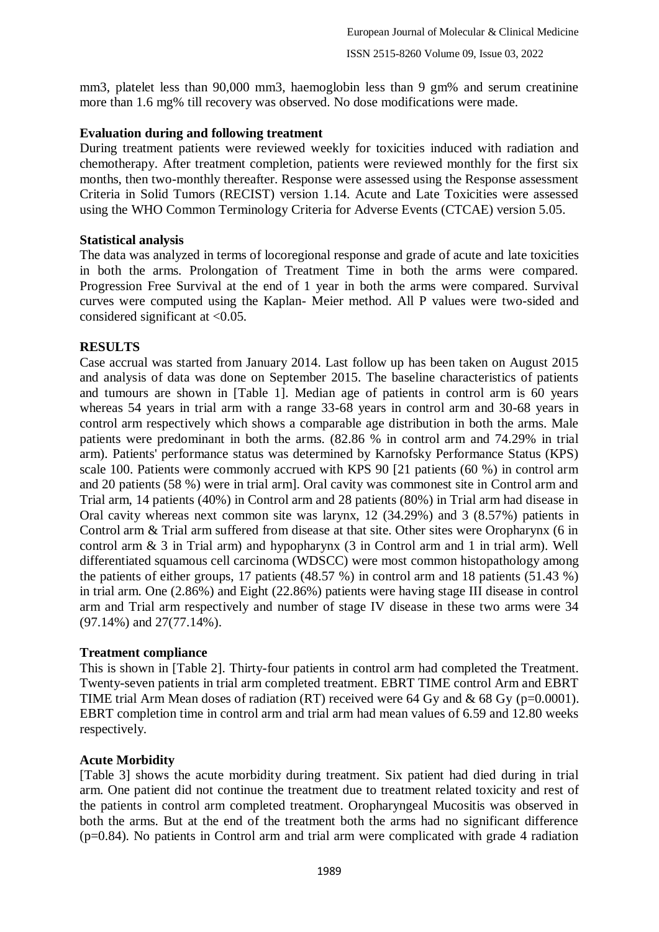mm3, platelet less than 90,000 mm3, haemoglobin less than 9 gm% and serum creatinine more than 1.6 mg% till recovery was observed. No dose modifications were made.

### **Evaluation during and following treatment**

During treatment patients were reviewed weekly for toxicities induced with radiation and chemotherapy. After treatment completion, patients were reviewed monthly for the first six months, then two-monthly thereafter. Response were assessed using the Response assessment Criteria in Solid Tumors (RECIST) version 1.14. Acute and Late Toxicities were assessed using the WHO Common Terminology Criteria for Adverse Events (CTCAE) version 5.05.

### **Statistical analysis**

The data was analyzed in terms of locoregional response and grade of acute and late toxicities in both the arms. Prolongation of Treatment Time in both the arms were compared. Progression Free Survival at the end of 1 year in both the arms were compared. Survival curves were computed using the Kaplan- Meier method. All P values were two-sided and considered significant at <0.05.

### **RESULTS**

Case accrual was started from January 2014. Last follow up has been taken on August 2015 and analysis of data was done on September 2015. The baseline characteristics of patients and tumours are shown in [Table 1]. Median age of patients in control arm is 60 years whereas 54 years in trial arm with a range 33-68 years in control arm and 30-68 years in control arm respectively which shows a comparable age distribution in both the arms. Male patients were predominant in both the arms. (82.86 % in control arm and 74.29% in trial arm). Patients' performance status was determined by Karnofsky Performance Status (KPS) scale 100. Patients were commonly accrued with KPS 90 [21 patients (60 %) in control arm and 20 patients (58 %) were in trial arm]. Oral cavity was commonest site in Control arm and Trial arm, 14 patients (40%) in Control arm and 28 patients (80%) in Trial arm had disease in Oral cavity whereas next common site was larynx, 12 (34.29%) and 3 (8.57%) patients in Control arm & Trial arm suffered from disease at that site. Other sites were Oropharynx (6 in control arm & 3 in Trial arm) and hypopharynx (3 in Control arm and 1 in trial arm). Well differentiated squamous cell carcinoma (WDSCC) were most common histopathology among the patients of either groups, 17 patients (48.57 %) in control arm and 18 patients (51.43 %) in trial arm. One (2.86%) and Eight (22.86%) patients were having stage III disease in control arm and Trial arm respectively and number of stage IV disease in these two arms were 34 (97.14%) and 27(77.14%).

#### **Treatment compliance**

This is shown in [Table 2]. Thirty-four patients in control arm had completed the Treatment. Twenty-seven patients in trial arm completed treatment. EBRT TIME control Arm and EBRT TIME trial Arm Mean doses of radiation (RT) received were 64 Gy and  $\&$  68 Gy (p=0.0001). EBRT completion time in control arm and trial arm had mean values of 6.59 and 12.80 weeks respectively.

#### **Acute Morbidity**

[Table 3] shows the acute morbidity during treatment. Six patient had died during in trial arm. One patient did not continue the treatment due to treatment related toxicity and rest of the patients in control arm completed treatment. Oropharyngeal Mucositis was observed in both the arms. But at the end of the treatment both the arms had no significant difference (p=0.84). No patients in Control arm and trial arm were complicated with grade 4 radiation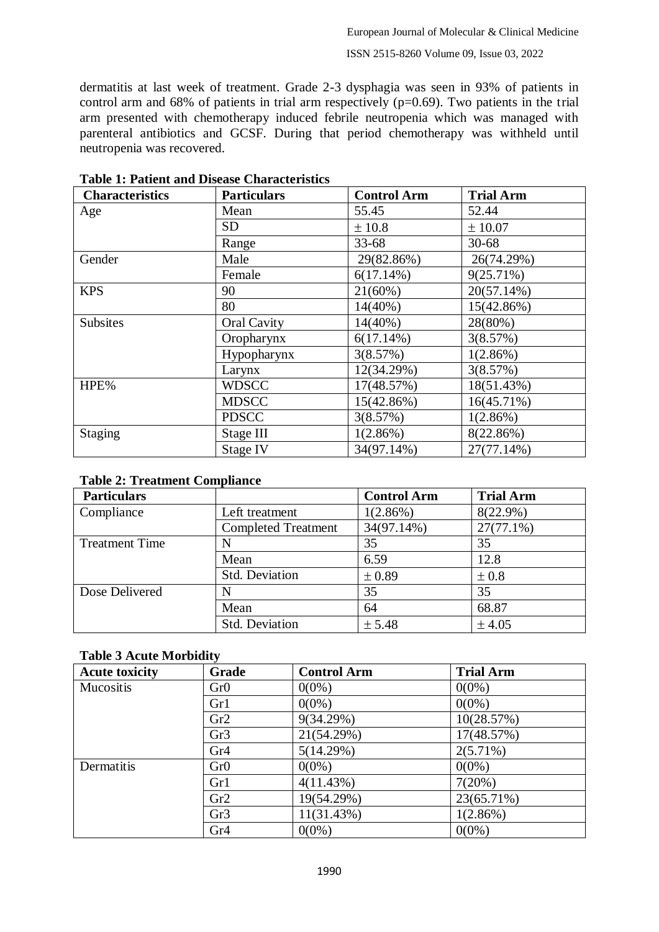dermatitis at last week of treatment. Grade 2-3 dysphagia was seen in 93% of patients in control arm and 68% of patients in trial arm respectively  $(p=0.69)$ . Two patients in the trial arm presented with chemotherapy induced febrile neutropenia which was managed with parenteral antibiotics and GCSF. During that period chemotherapy was withheld until neutropenia was recovered.

| <b>Characteristics</b> | <b>Particulars</b> | <b>Control Arm</b> | <b>Trial Arm</b> |
|------------------------|--------------------|--------------------|------------------|
| Age                    | Mean               | 55.45              | 52.44            |
|                        | <b>SD</b>          | ± 10.8             | ± 10.07          |
|                        | Range              | $33 - 68$          | $30 - 68$        |
| Gender                 | Male               | 29(82.86%)         | 26(74.29%)       |
|                        | Female             | 6(17.14%)          | 9(25.71%)        |
| <b>KPS</b>             | 90                 | 21(60%)            | 20(57.14%)       |
|                        | 80                 | $14(40\%)$         | 15(42.86%)       |
| <b>Subsites</b>        | Oral Cavity        | $14(40\%)$         | 28(80%)          |
|                        | Oropharynx         | 6(17.14%)          | 3(8.57%)         |
|                        | Hypopharynx        | 3(8.57%)           | $1(2.86\%)$      |
|                        | Larynx             | 12(34.29%)         | 3(8.57%)         |
| HPE%                   | <b>WDSCC</b>       | 17(48.57%)         | 18(51.43%)       |
|                        | <b>MDSCC</b>       | 15(42.86%)         | $16(45.71\%)$    |
|                        | <b>PDSCC</b>       | 3(8.57%)           | 1(2.86%)         |
| Staging                | Stage III          | 1(2.86%)           | 8(22.86%)        |
|                        | Stage IV           | 34(97.14%)         | 27(77.14%)       |

**Table 1: Patient and Disease Characteristics**

|  |  | <b>Table 2: Treatment Compliance</b> |
|--|--|--------------------------------------|
|--|--|--------------------------------------|

| <b>Particulars</b>    |                            | <b>Control Arm</b> | <b>Trial Arm</b> |
|-----------------------|----------------------------|--------------------|------------------|
| Compliance            | Left treatment             | 1(2.86%)           | $8(22.9\%)$      |
|                       | <b>Completed Treatment</b> | 34(97.14%)         | $27(77.1\%)$     |
| <b>Treatment Time</b> |                            | 35                 | 35               |
|                       | Mean                       | 6.59               | 12.8             |
|                       | <b>Std. Deviation</b>      | ± 0.89             | $\pm 0.8$        |
| Dose Delivered        |                            | 35                 | 35               |
|                       | Mean                       | 64                 | 68.87            |
|                       | Std. Deviation             | ± 5.48             | ± 4.05           |

## **Table 3 Acute Morbidity**

| <b>Acute toxicity</b> | Grade | <b>Control Arm</b> | <b>Trial Arm</b> |
|-----------------------|-------|--------------------|------------------|
| Mucositis             | Gr0   | $0(0\%)$           | $0(0\%)$         |
|                       | Gr1   | $0(0\%)$           | $0(0\%)$         |
|                       | Gr2   | 9(34.29%)          | 10(28.57%)       |
|                       | Gr3   | 21(54.29%)         | 17(48.57%)       |
|                       | Gr4   | 5(14.29%)          | $2(5.71\%)$      |
| Dermatitis            | Gr0   | $0(0\%)$           | $0(0\%)$         |
|                       | Gr1   | 4(11.43%)          | 7(20%)           |
|                       | Gr2   | 19(54.29%)         | 23(65.71%)       |
|                       | Gr3   | 11(31.43%)         | 1(2.86%)         |
|                       | Gr4   | $0(0\%)$           | $0(0\%)$         |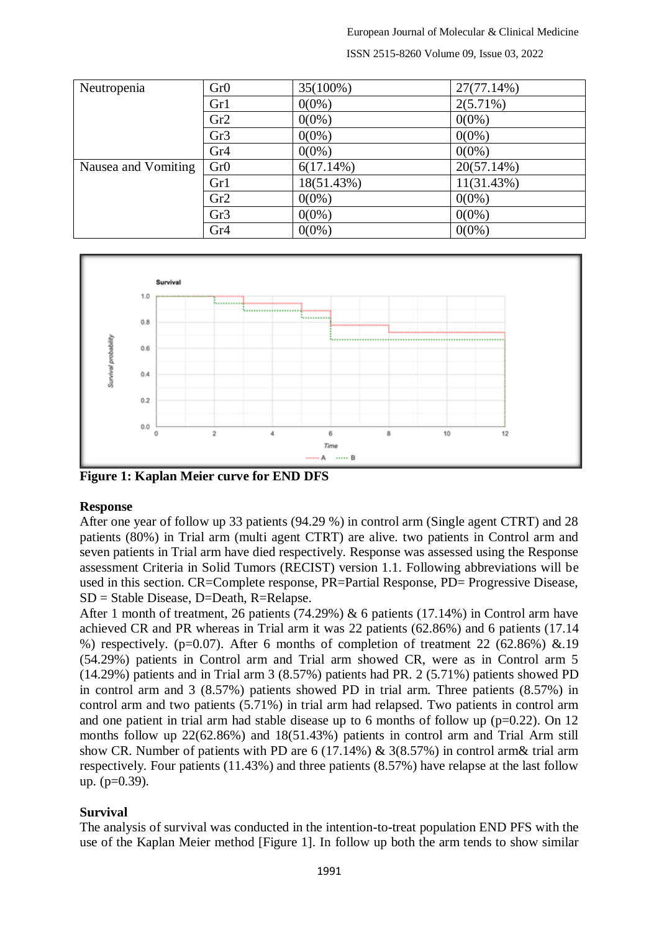European Journal of Molecular & Clinical Medicine

ISSN 2515-8260 Volume 09, Issue 03, 2022

| Neutropenia         | Gr0             | 35(100%)     | 27(77.14%)    |
|---------------------|-----------------|--------------|---------------|
|                     | Gr1             | $0(0\%)$     | $2(5.71\%)$   |
|                     | Gr2             | $0(0\%)$     | $0(0\%)$      |
|                     | Gr <sub>3</sub> | $0(0\%)$     | $0(0\%)$      |
|                     | Gr <sub>4</sub> | $0(0\%)$     | $0(0\%)$      |
| Nausea and Vomiting | Gr0             | $6(17.14\%)$ | $20(57.14\%)$ |
|                     | Gr1             | 18(51.43%)   | 11(31.43%)    |
|                     | Gr2             | $0(0\%)$     | $0(0\%)$      |
|                     | Gr <sub>3</sub> | $0(0\%)$     | $0(0\%)$      |
|                     | Gr <sub>4</sub> | $0(0\%)$     | $0(0\%)$      |



**Figure 1: Kaplan Meier curve for END DFS**

#### **Response**

After one year of follow up 33 patients (94.29 %) in control arm (Single agent CTRT) and 28 patients (80%) in Trial arm (multi agent CTRT) are alive. two patients in Control arm and seven patients in Trial arm have died respectively. Response was assessed using the Response assessment Criteria in Solid Tumors (RECIST) version 1.1. Following abbreviations will be used in this section. CR=Complete response, PR=Partial Response, PD= Progressive Disease, SD = Stable Disease, D=Death, R=Relapse.

After 1 month of treatment, 26 patients (74.29%) & 6 patients (17.14%) in Control arm have achieved CR and PR whereas in Trial arm it was 22 patients (62.86%) and 6 patients (17.14 %) respectively. ( $p=0.07$ ). After 6 months of completion of treatment 22 (62.86%) &.19 (54.29%) patients in Control arm and Trial arm showed CR, were as in Control arm 5 (14.29%) patients and in Trial arm 3 (8.57%) patients had PR. 2 (5.71%) patients showed PD in control arm and 3 (8.57%) patients showed PD in trial arm. Three patients (8.57%) in control arm and two patients (5.71%) in trial arm had relapsed. Two patients in control arm and one patient in trial arm had stable disease up to 6 months of follow up  $(p=0.22)$ . On 12 months follow up 22(62.86%) and 18(51.43%) patients in control arm and Trial Arm still show CR. Number of patients with PD are 6 (17.14%) & 3(8.57%) in control arm& trial arm respectively. Four patients (11.43%) and three patients (8.57%) have relapse at the last follow up.  $(p=0.39)$ .

## **Survival**

The analysis of survival was conducted in the intention-to-treat population END PFS with the use of the Kaplan Meier method [Figure 1]. In follow up both the arm tends to show similar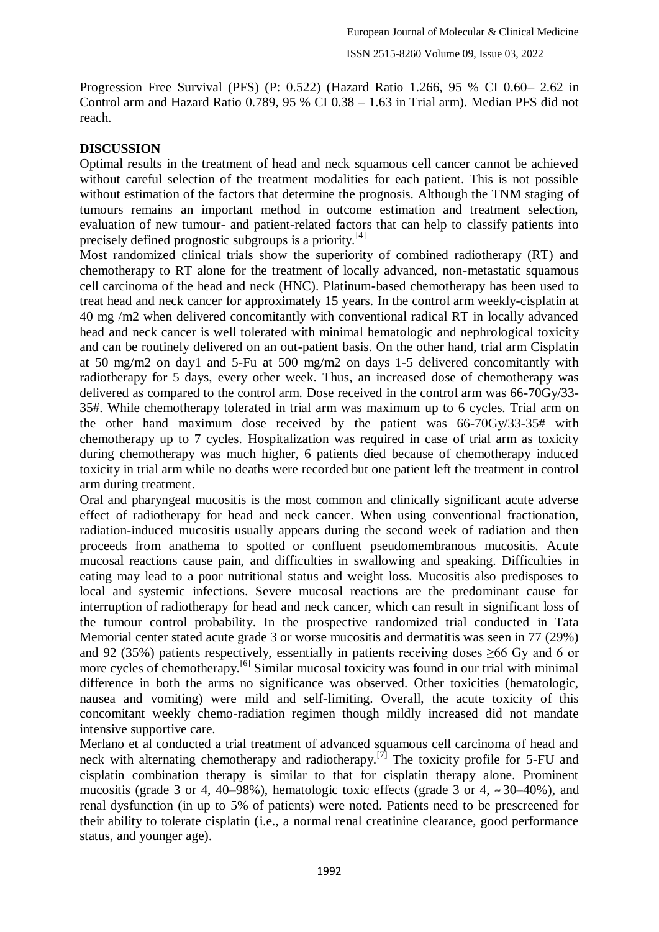Progression Free Survival (PFS) (P: 0.522) (Hazard Ratio 1.266, 95 % CI 0.60– 2.62 in Control arm and Hazard Ratio 0.789, 95 % CI 0.38 – 1.63 in Trial arm). Median PFS did not reach.

## **DISCUSSION**

Optimal results in the treatment of head and neck squamous cell cancer cannot be achieved without careful selection of the treatment modalities for each patient. This is not possible without estimation of the factors that determine the prognosis. Although the TNM staging of tumours remains an important method in outcome estimation and treatment selection, evaluation of new tumour- and patient-related factors that can help to classify patients into precisely defined prognostic subgroups is a priority.<sup>[4]</sup>

Most randomized clinical trials show the superiority of combined radiotherapy (RT) and chemotherapy to RT alone for the treatment of locally advanced, non-metastatic squamous cell carcinoma of the head and neck (HNC). Platinum-based chemotherapy has been used to treat head and neck cancer for approximately 15 years. In the control arm weekly-cisplatin at 40 mg /m2 when delivered concomitantly with conventional radical RT in locally advanced head and neck cancer is well tolerated with minimal hematologic and nephrological toxicity and can be routinely delivered on an out-patient basis. On the other hand, trial arm Cisplatin at 50 mg/m2 on day1 and 5-Fu at 500 mg/m2 on days 1-5 delivered concomitantly with radiotherapy for 5 days, every other week. Thus, an increased dose of chemotherapy was delivered as compared to the control arm. Dose received in the control arm was 66-70Gy/33- 35#. While chemotherapy tolerated in trial arm was maximum up to 6 cycles. Trial arm on the other hand maximum dose received by the patient was 66-70Gy/33-35# with chemotherapy up to 7 cycles. Hospitalization was required in case of trial arm as toxicity during chemotherapy was much higher, 6 patients died because of chemotherapy induced toxicity in trial arm while no deaths were recorded but one patient left the treatment in control arm during treatment.

Oral and pharyngeal mucositis is the most common and clinically significant acute adverse effect of radiotherapy for head and neck cancer. When using conventional fractionation, radiation-induced mucositis usually appears during the second week of radiation and then proceeds from anathema to spotted or confluent pseudomembranous mucositis. Acute mucosal reactions cause pain, and difficulties in swallowing and speaking. Difficulties in eating may lead to a poor nutritional status and weight loss. Mucositis also predisposes to local and systemic infections. Severe mucosal reactions are the predominant cause for interruption of radiotherapy for head and neck cancer, which can result in significant loss of the tumour control probability. In the prospective randomized trial conducted in Tata Memorial center stated acute grade 3 or worse mucositis and dermatitis was seen in 77 (29%) and 92 (35%) patients respectively, essentially in patients receiving doses  $\geq 66$  Gy and 6 or more cycles of chemotherapy.<sup>[6]</sup> Similar mucosal toxicity was found in our trial with minimal difference in both the arms no significance was observed. Other toxicities (hematologic, nausea and vomiting) were mild and self-limiting. Overall, the acute toxicity of this concomitant weekly chemo-radiation regimen though mildly increased did not mandate intensive supportive care.

Merlano et al conducted a trial treatment of advanced squamous cell carcinoma of head and neck with alternating chemotherapy and radiotherapy.<sup>[7]</sup> The toxicity profile for 5-FU and cisplatin combination therapy is similar to that for cisplatin therapy alone. Prominent mucositis (grade 3 or 4, 40–98%), hematologic toxic effects (grade 3 or 4,  $\sim$  30–40%), and renal dysfunction (in up to 5% of patients) were noted. Patients need to be prescreened for their ability to tolerate cisplatin (i.e., a normal renal creatinine clearance, good performance status, and younger age).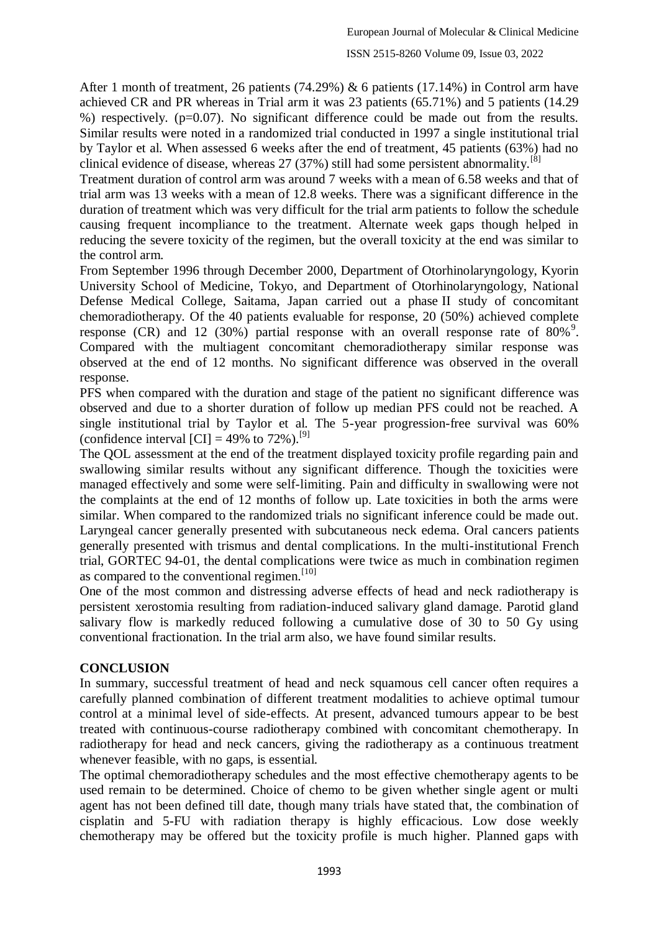After 1 month of treatment, 26 patients (74.29%) & 6 patients (17.14%) in Control arm have achieved CR and PR whereas in Trial arm it was 23 patients (65.71%) and 5 patients (14.29 %) respectively. ( $p=0.07$ ). No significant difference could be made out from the results. Similar results were noted in a randomized trial conducted in 1997 a single institutional trial by Taylor et al. When assessed 6 weeks after the end of treatment, 45 patients (63%) had no clinical evidence of disease, whereas  $27$  (37%) still had some persistent abnormality.<sup>[8]</sup>

Treatment duration of control arm was around 7 weeks with a mean of 6.58 weeks and that of trial arm was 13 weeks with a mean of 12.8 weeks. There was a significant difference in the duration of treatment which was very difficult for the trial arm patients to follow the schedule causing frequent incompliance to the treatment. Alternate week gaps though helped in reducing the severe toxicity of the regimen, but the overall toxicity at the end was similar to the control arm.

From September 1996 through December 2000, Department of Otorhinolaryngology, Kyorin University School of Medicine, Tokyo, and Department of Otorhinolaryngology, National Defense Medical College, Saitama, Japan carried out a phase II study of concomitant chemoradiotherapy. Of the 40 patients evaluable for response, 20 (50%) achieved complete response (CR) and 12 (30%) partial response with an overall response rate of  $80\%$ <sup>9</sup>. Compared with the multiagent concomitant chemoradiotherapy similar response was observed at the end of 12 months. No significant difference was observed in the overall response.

PFS when compared with the duration and stage of the patient no significant difference was observed and due to a shorter duration of follow up median PFS could not be reached. A single institutional trial by Taylor et al. The 5-year progression-free survival was 60% (confidence interval  $\text{[CI]} = 49\%$  to 72%).<sup>[9]</sup>

The QOL assessment at the end of the treatment displayed toxicity profile regarding pain and swallowing similar results without any significant difference. Though the toxicities were managed effectively and some were self-limiting. Pain and difficulty in swallowing were not the complaints at the end of 12 months of follow up. Late toxicities in both the arms were similar. When compared to the randomized trials no significant inference could be made out. Laryngeal cancer generally presented with subcutaneous neck edema. Oral cancers patients generally presented with trismus and dental complications. In the multi-institutional French trial, GORTEC 94-01, the dental complications were twice as much in combination regimen as compared to the conventional regimen.<sup>[10]</sup>

One of the most common and distressing adverse effects of head and neck radiotherapy is persistent xerostomia resulting from radiation-induced salivary gland damage. Parotid gland salivary flow is markedly reduced following a cumulative dose of 30 to 50 Gy using conventional fractionation. In the trial arm also, we have found similar results.

# **CONCLUSION**

In summary, successful treatment of head and neck squamous cell cancer often requires a carefully planned combination of different treatment modalities to achieve optimal tumour control at a minimal level of side-effects. At present, advanced tumours appear to be best treated with continuous-course radiotherapy combined with concomitant chemotherapy. In radiotherapy for head and neck cancers, giving the radiotherapy as a continuous treatment whenever feasible, with no gaps, is essential.

The optimal chemoradiotherapy schedules and the most effective chemotherapy agents to be used remain to be determined. Choice of chemo to be given whether single agent or multi agent has not been defined till date, though many trials have stated that, the combination of cisplatin and 5-FU with radiation therapy is highly efficacious. Low dose weekly chemotherapy may be offered but the toxicity profile is much higher. Planned gaps with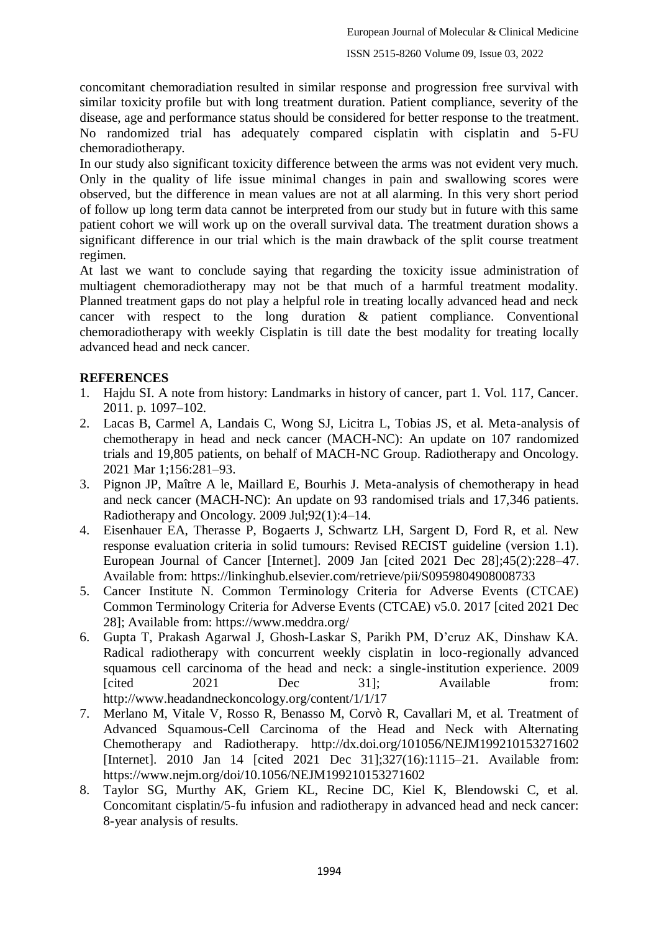concomitant chemoradiation resulted in similar response and progression free survival with similar toxicity profile but with long treatment duration. Patient compliance, severity of the disease, age and performance status should be considered for better response to the treatment. No randomized trial has adequately compared cisplatin with cisplatin and 5-FU chemoradiotherapy.

In our study also significant toxicity difference between the arms was not evident very much. Only in the quality of life issue minimal changes in pain and swallowing scores were observed, but the difference in mean values are not at all alarming. In this very short period of follow up long term data cannot be interpreted from our study but in future with this same patient cohort we will work up on the overall survival data. The treatment duration shows a significant difference in our trial which is the main drawback of the split course treatment regimen.

At last we want to conclude saying that regarding the toxicity issue administration of multiagent chemoradiotherapy may not be that much of a harmful treatment modality. Planned treatment gaps do not play a helpful role in treating locally advanced head and neck cancer with respect to the long duration & patient compliance. Conventional chemoradiotherapy with weekly Cisplatin is till date the best modality for treating locally advanced head and neck cancer.

# **REFERENCES**

- 1. Hajdu SI. A note from history: Landmarks in history of cancer, part 1. Vol. 117, Cancer. 2011. p. 1097–102.
- 2. Lacas B, Carmel A, Landais C, Wong SJ, Licitra L, Tobias JS, et al. Meta-analysis of chemotherapy in head and neck cancer (MACH-NC): An update on 107 randomized trials and 19,805 patients, on behalf of MACH-NC Group. Radiotherapy and Oncology. 2021 Mar 1;156:281–93.
- 3. Pignon JP, Maître A le, Maillard E, Bourhis J. Meta-analysis of chemotherapy in head and neck cancer (MACH-NC): An update on 93 randomised trials and 17,346 patients. Radiotherapy and Oncology. 2009 Jul;92(1):4–14.
- 4. Eisenhauer EA, Therasse P, Bogaerts J, Schwartz LH, Sargent D, Ford R, et al. New response evaluation criteria in solid tumours: Revised RECIST guideline (version 1.1). European Journal of Cancer [Internet]. 2009 Jan [cited 2021 Dec 28];45(2):228–47. Available from: https://linkinghub.elsevier.com/retrieve/pii/S0959804908008733
- 5. Cancer Institute N. Common Terminology Criteria for Adverse Events (CTCAE) Common Terminology Criteria for Adverse Events (CTCAE) v5.0. 2017 [cited 2021 Dec 28]; Available from: https://www.meddra.org/
- 6. Gupta T, Prakash Agarwal J, Ghosh-Laskar S, Parikh PM, D'cruz AK, Dinshaw KA. Radical radiotherapy with concurrent weekly cisplatin in loco-regionally advanced squamous cell carcinoma of the head and neck: a single-institution experience. 2009 [cited 2021 Dec 31]; Available from: http://www.headandneckoncology.org/content/1/1/17
- 7. Merlano M, Vitale V, Rosso R, Benasso M, Corvò R, Cavallari M, et al. Treatment of Advanced Squamous-Cell Carcinoma of the Head and Neck with Alternating Chemotherapy and Radiotherapy. http://dx.doi.org/101056/NEJM199210153271602 [Internet]. 2010 Jan 14 [cited 2021 Dec 31];327(16):1115–21. Available from: https://www.nejm.org/doi/10.1056/NEJM199210153271602
- 8. Taylor SG, Murthy AK, Griem KL, Recine DC, Kiel K, Blendowski C, et al. Concomitant cisplatin/5-fu infusion and radiotherapy in advanced head and neck cancer: 8-year analysis of results.